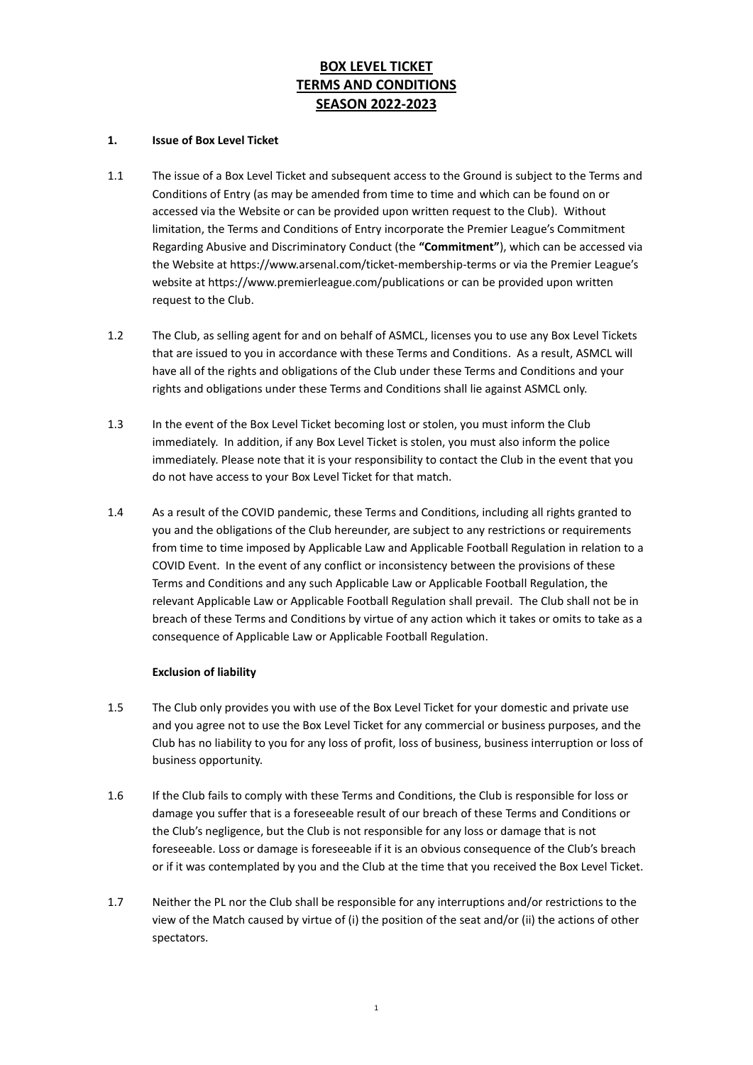# **BOX LEVEL TICKET TERMS AND CONDITIONS SEASON 2022-2023**

### **1. Issue of Box Level Ticket**

- 1.1 The issue of a Box Level Ticket and subsequent access to the Ground is subject to the Terms and Conditions of Entry (as may be amended from time to time and which can be found on or accessed via the Website or can be provided upon written request to the Club). Without limitation, the Terms and Conditions of Entry incorporate the Premier League's Commitment Regarding Abusive and Discriminatory Conduct (the **"Commitment"**), which can be accessed via the Website at https://www.arsenal.com/ticket-membership-terms or via the Premier League's website a[t https://www.premierleague.com/publications](https://www.premierleague.com/publications) or can be provided upon written request to the Club.
- 1.2 The Club, as selling agent for and on behalf of ASMCL, licenses you to use any Box Level Tickets that are issued to you in accordance with these Terms and Conditions. As a result, ASMCL will have all of the rights and obligations of the Club under these Terms and Conditions and your rights and obligations under these Terms and Conditions shall lie against ASMCL only.
- 1.3 In the event of the Box Level Ticket becoming lost or stolen, you must inform the Club immediately. In addition, if any Box Level Ticket is stolen, you must also inform the police immediately. Please note that it is your responsibility to contact the Club in the event that you do not have access to your Box Level Ticket for that match.
- 1.4 As a result of the COVID pandemic, these Terms and Conditions, including all rights granted to you and the obligations of the Club hereunder, are subject to any restrictions or requirements from time to time imposed by Applicable Law and Applicable Football Regulation in relation to a COVID Event. In the event of any conflict or inconsistency between the provisions of these Terms and Conditions and any such Applicable Law or Applicable Football Regulation, the relevant Applicable Law or Applicable Football Regulation shall prevail. The Club shall not be in breach of these Terms and Conditions by virtue of any action which it takes or omits to take as a consequence of Applicable Law or Applicable Football Regulation.

# **Exclusion of liability**

- 1.5 The Club only provides you with use of the Box Level Ticket for your domestic and private use and you agree not to use the Box Level Ticket for any commercial or business purposes, and the Club has no liability to you for any loss of profit, loss of business, business interruption or loss of business opportunity.
- 1.6 If the Club fails to comply with these Terms and Conditions, the Club is responsible for loss or damage you suffer that is a foreseeable result of our breach of these Terms and Conditions or the Club's negligence, but the Club is not responsible for any loss or damage that is not foreseeable. Loss or damage is foreseeable if it is an obvious consequence of the Club's breach or if it was contemplated by you and the Club at the time that you received the Box Level Ticket.
- 1.7 Neither the PL nor the Club shall be responsible for any interruptions and/or restrictions to the view of the Match caused by virtue of (i) the position of the seat and/or (ii) the actions of other spectators.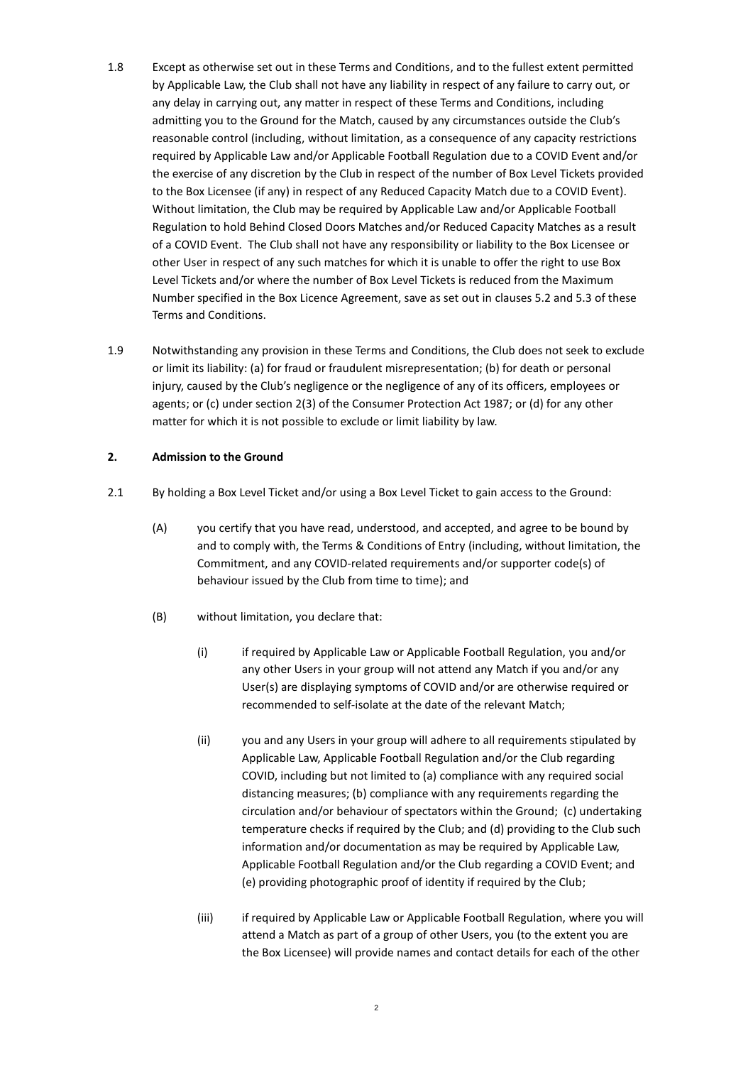- 1.8 Except as otherwise set out in these Terms and Conditions, and to the fullest extent permitted by Applicable Law, the Club shall not have any liability in respect of any failure to carry out, or any delay in carrying out, any matter in respect of these Terms and Conditions, including admitting you to the Ground for the Match, caused by any circumstances outside the Club's reasonable control (including, without limitation, as a consequence of any capacity restrictions required by Applicable Law and/or Applicable Football Regulation due to a COVID Event and/or the exercise of any discretion by the Club in respect of the number of Box Level Tickets provided to the Box Licensee (if any) in respect of any Reduced Capacity Match due to a COVID Event). Without limitation, the Club may be required by Applicable Law and/or Applicable Football Regulation to hold Behind Closed Doors Matches and/or Reduced Capacity Matches as a result of a COVID Event. The Club shall not have any responsibility or liability to the Box Licensee or other User in respect of any such matches for which it is unable to offer the right to use Box Level Tickets and/or where the number of Box Level Tickets is reduced from the Maximum Number specified in the Box Licence Agreement, save as set out in clauses 5.2 and 5.3 of these Terms and Conditions.
- 1.9 Notwithstanding any provision in these Terms and Conditions, the Club does not seek to exclude or limit its liability: (a) for fraud or fraudulent misrepresentation; (b) for death or personal injury, caused by the Club's negligence or the negligence of any of its officers, employees or agents; or (c) under section 2(3) of the Consumer Protection Act 1987; or (d) for any other matter for which it is not possible to exclude or limit liability by law.

#### **2. Admission to the Ground**

- 2.1 By holding a Box Level Ticket and/or using a Box Level Ticket to gain access to the Ground:
	- (A) you certify that you have read, understood, and accepted, and agree to be bound by and to comply with, the Terms & Conditions of Entry (including, without limitation, the Commitment, and any COVID-related requirements and/or supporter code(s) of behaviour issued by the Club from time to time); and
	- (B) without limitation, you declare that:
		- (i) if required by Applicable Law or Applicable Football Regulation, you and/or any other Users in your group will not attend any Match if you and/or any User(s) are displaying symptoms of COVID and/or are otherwise required or recommended to self-isolate at the date of the relevant Match;
		- (ii) you and any Users in your group will adhere to all requirements stipulated by Applicable Law, Applicable Football Regulation and/or the Club regarding COVID, including but not limited to (a) compliance with any required social distancing measures; (b) compliance with any requirements regarding the circulation and/or behaviour of spectators within the Ground; (c) undertaking temperature checks if required by the Club; and (d) providing to the Club such information and/or documentation as may be required by Applicable Law, Applicable Football Regulation and/or the Club regarding a COVID Event; and (e) providing photographic proof of identity if required by the Club;
		- (iii) if required by Applicable Law or Applicable Football Regulation, where you will attend a Match as part of a group of other Users, you (to the extent you are the Box Licensee) will provide names and contact details for each of the other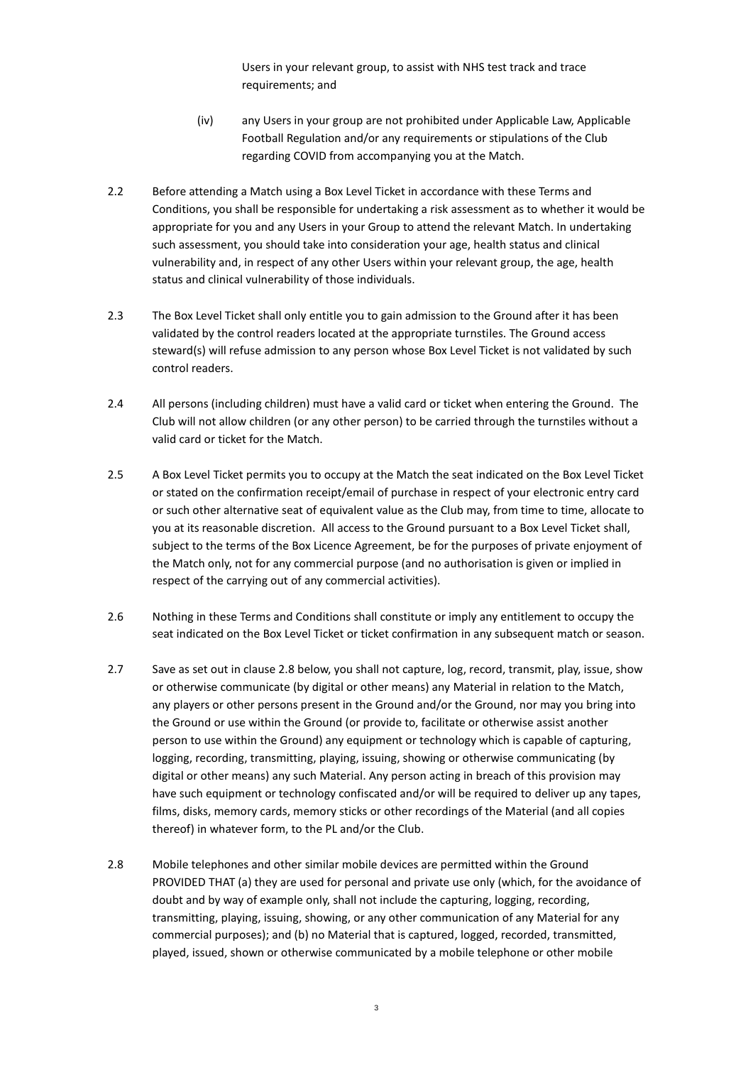Users in your relevant group, to assist with NHS test track and trace requirements; and

- (iv) any Users in your group are not prohibited under Applicable Law, Applicable Football Regulation and/or any requirements or stipulations of the Club regarding COVID from accompanying you at the Match.
- 2.2 Before attending a Match using a Box Level Ticket in accordance with these Terms and Conditions, you shall be responsible for undertaking a risk assessment as to whether it would be appropriate for you and any Users in your Group to attend the relevant Match. In undertaking such assessment, you should take into consideration your age, health status and clinical vulnerability and, in respect of any other Users within your relevant group, the age, health status and clinical vulnerability of those individuals.
- 2.3 The Box Level Ticket shall only entitle you to gain admission to the Ground after it has been validated by the control readers located at the appropriate turnstiles. The Ground access steward(s) will refuse admission to any person whose Box Level Ticket is not validated by such control readers.
- 2.4 All persons (including children) must have a valid card or ticket when entering the Ground. The Club will not allow children (or any other person) to be carried through the turnstiles without a valid card or ticket for the Match.
- 2.5 A Box Level Ticket permits you to occupy at the Match the seat indicated on the Box Level Ticket or stated on the confirmation receipt/email of purchase in respect of your electronic entry card or such other alternative seat of equivalent value as the Club may, from time to time, allocate to you at its reasonable discretion. All access to the Ground pursuant to a Box Level Ticket shall, subject to the terms of the Box Licence Agreement, be for the purposes of private enjoyment of the Match only, not for any commercial purpose (and no authorisation is given or implied in respect of the carrying out of any commercial activities).
- 2.6 Nothing in these Terms and Conditions shall constitute or imply any entitlement to occupy the seat indicated on the Box Level Ticket or ticket confirmation in any subsequent match or season.
- 2.7 Save as set out in clause 2.8 below, you shall not capture, log, record, transmit, play, issue, show or otherwise communicate (by digital or other means) any Material in relation to the Match, any players or other persons present in the Ground and/or the Ground, nor may you bring into the Ground or use within the Ground (or provide to, facilitate or otherwise assist another person to use within the Ground) any equipment or technology which is capable of capturing, logging, recording, transmitting, playing, issuing, showing or otherwise communicating (by digital or other means) any such Material. Any person acting in breach of this provision may have such equipment or technology confiscated and/or will be required to deliver up any tapes, films, disks, memory cards, memory sticks or other recordings of the Material (and all copies thereof) in whatever form, to the PL and/or the Club.
- 2.8 Mobile telephones and other similar mobile devices are permitted within the Ground PROVIDED THAT (a) they are used for personal and private use only (which, for the avoidance of doubt and by way of example only, shall not include the capturing, logging, recording, transmitting, playing, issuing, showing, or any other communication of any Material for any commercial purposes); and (b) no Material that is captured, logged, recorded, transmitted, played, issued, shown or otherwise communicated by a mobile telephone or other mobile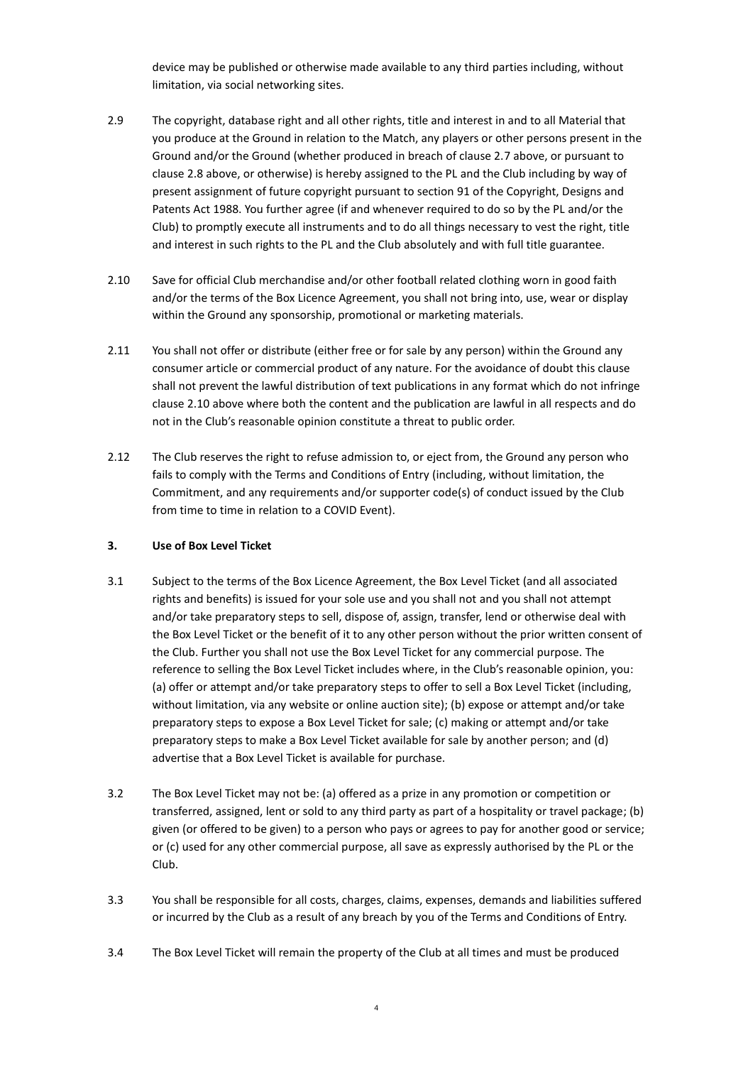device may be published or otherwise made available to any third parties including, without limitation, via social networking sites.

- 2.9 The copyright, database right and all other rights, title and interest in and to all Material that you produce at the Ground in relation to the Match, any players or other persons present in the Ground and/or the Ground (whether produced in breach of clause 2.7 above, or pursuant to clause 2.8 above, or otherwise) is hereby assigned to the PL and the Club including by way of present assignment of future copyright pursuant to section 91 of the Copyright, Designs and Patents Act 1988. You further agree (if and whenever required to do so by the PL and/or the Club) to promptly execute all instruments and to do all things necessary to vest the right, title and interest in such rights to the PL and the Club absolutely and with full title guarantee.
- 2.10 Save for official Club merchandise and/or other football related clothing worn in good faith and/or the terms of the Box Licence Agreement, you shall not bring into, use, wear or display within the Ground any sponsorship, promotional or marketing materials.
- 2.11 You shall not offer or distribute (either free or for sale by any person) within the Ground any consumer article or commercial product of any nature. For the avoidance of doubt this clause shall not prevent the lawful distribution of text publications in any format which do not infringe clause 2.10 above where both the content and the publication are lawful in all respects and do not in the Club's reasonable opinion constitute a threat to public order.
- 2.12 The Club reserves the right to refuse admission to, or eject from, the Ground any person who fails to comply with the Terms and Conditions of Entry (including, without limitation, the Commitment, and any requirements and/or supporter code(s) of conduct issued by the Club from time to time in relation to a COVID Event).

#### **3. Use of Box Level Ticket**

- 3.1 Subject to the terms of the Box Licence Agreement, the Box Level Ticket (and all associated rights and benefits) is issued for your sole use and you shall not and you shall not attempt and/or take preparatory steps to sell, dispose of, assign, transfer, lend or otherwise deal with the Box Level Ticket or the benefit of it to any other person without the prior written consent of the Club. Further you shall not use the Box Level Ticket for any commercial purpose. The reference to selling the Box Level Ticket includes where, in the Club's reasonable opinion, you: (a) offer or attempt and/or take preparatory steps to offer to sell a Box Level Ticket (including, without limitation, via any website or online auction site); (b) expose or attempt and/or take preparatory steps to expose a Box Level Ticket for sale; (c) making or attempt and/or take preparatory steps to make a Box Level Ticket available for sale by another person; and (d) advertise that a Box Level Ticket is available for purchase.
- 3.2 The Box Level Ticket may not be: (a) offered as a prize in any promotion or competition or transferred, assigned, lent or sold to any third party as part of a hospitality or travel package; (b) given (or offered to be given) to a person who pays or agrees to pay for another good or service; or (c) used for any other commercial purpose, all save as expressly authorised by the PL or the Club.
- 3.3 You shall be responsible for all costs, charges, claims, expenses, demands and liabilities suffered or incurred by the Club as a result of any breach by you of the Terms and Conditions of Entry.
- 3.4 The Box Level Ticket will remain the property of the Club at all times and must be produced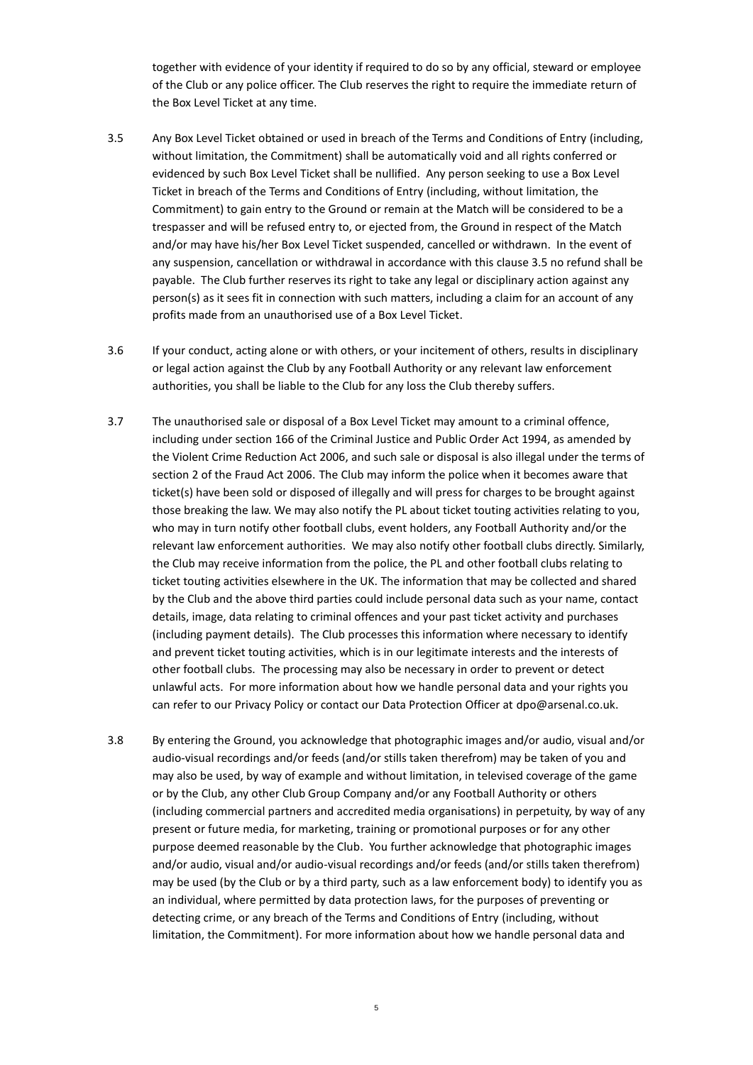together with evidence of your identity if required to do so by any official, steward or employee of the Club or any police officer. The Club reserves the right to require the immediate return of the Box Level Ticket at any time.

- <span id="page-4-0"></span>3.5 Any Box Level Ticket obtained or used in breach of the Terms and Conditions of Entry (including, without limitation, the Commitment) shall be automatically void and all rights conferred or evidenced by such Box Level Ticket shall be nullified. Any person seeking to use a Box Level Ticket in breach of the Terms and Conditions of Entry (including, without limitation, the Commitment) to gain entry to the Ground or remain at the Match will be considered to be a trespasser and will be refused entry to, or ejected from, the Ground in respect of the Match and/or may have his/her Box Level Ticket suspended, cancelled or withdrawn. In the event of any suspension, cancellation or withdrawal in accordance with this clause [3.5](#page-4-0) no refund shall be payable. The Club further reserves its right to take any legal or disciplinary action against any person(s) as it sees fit in connection with such matters, including a claim for an account of any profits made from an unauthorised use of a Box Level Ticket.
- 3.6 If your conduct, acting alone or with others, or your incitement of others, results in disciplinary or legal action against the Club by any Football Authority or any relevant law enforcement authorities, you shall be liable to the Club for any loss the Club thereby suffers.
- 3.7 The unauthorised sale or disposal of a Box Level Ticket may amount to a criminal offence, including under section 166 of the Criminal Justice and Public Order Act 1994, as amended by the Violent Crime Reduction Act 2006, and such sale or disposal is also illegal under the terms of section 2 of the Fraud Act 2006. The Club may inform the police when it becomes aware that ticket(s) have been sold or disposed of illegally and will press for charges to be brought against those breaking the law. We may also notify the PL about ticket touting activities relating to you, who may in turn notify other football clubs, event holders, any Football Authority and/or the relevant law enforcement authorities. We may also notify other football clubs directly. Similarly, the Club may receive information from the police, the PL and other football clubs relating to ticket touting activities elsewhere in the UK. The information that may be collected and shared by the Club and the above third parties could include personal data such as your name, contact details, image, data relating to criminal offences and your past ticket activity and purchases (including payment details). The Club processes this information where necessary to identify and prevent ticket touting activities, which is in our legitimate interests and the interests of other football clubs. The processing may also be necessary in order to prevent or detect unlawful acts. For more information about how we handle personal data and your rights you can refer to our Privacy Policy or contact our Data Protection Officer at [dpo@arsenal.co.uk.](mailto:dpo@arsenal.co.uk)
- 3.8 By entering the Ground, you acknowledge that photographic images and/or audio, visual and/or audio-visual recordings and/or feeds (and/or stills taken therefrom) may be taken of you and may also be used, by way of example and without limitation, in televised coverage of the game or by the Club, any other Club Group Company and/or any Football Authority or others (including commercial partners and accredited media organisations) in perpetuity, by way of any present or future media, for marketing, training or promotional purposes or for any other purpose deemed reasonable by the Club. You further acknowledge that photographic images and/or audio, visual and/or audio-visual recordings and/or feeds (and/or stills taken therefrom) may be used (by the Club or by a third party, such as a law enforcement body) to identify you as an individual, where permitted by data protection laws, for the purposes of preventing or detecting crime, or any breach of the Terms and Conditions of Entry (including, without limitation, the Commitment). For more information about how we handle personal data and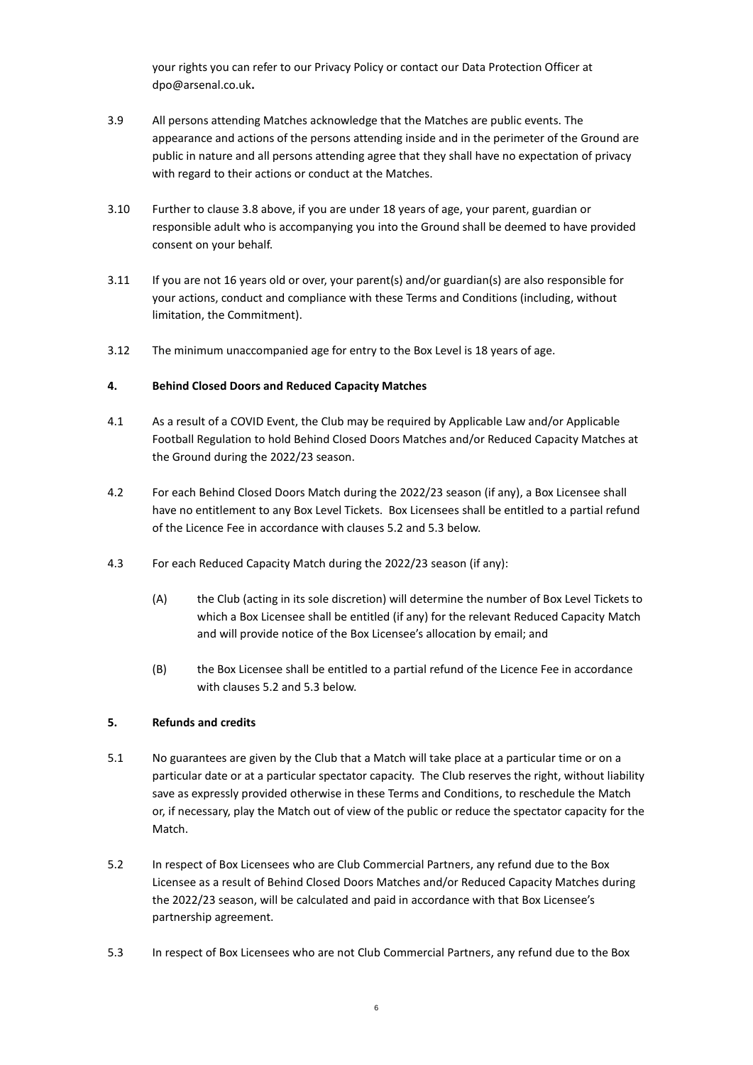your rights you can refer to our Privacy Policy or contact our Data Protection Officer at dpo@arsenal.co.uk**.**

- 3.9 All persons attending Matches acknowledge that the Matches are public events. The appearance and actions of the persons attending inside and in the perimeter of the Ground are public in nature and all persons attending agree that they shall have no expectation of privacy with regard to their actions or conduct at the Matches.
- 3.10 Further to clause 3.8 above, if you are under 18 years of age, your parent, guardian or responsible adult who is accompanying you into the Ground shall be deemed to have provided consent on your behalf.
- 3.11 If you are not 16 years old or over, your parent(s) and/or guardian(s) are also responsible for your actions, conduct and compliance with these Terms and Conditions (including, without limitation, the Commitment).
- 3.12 The minimum unaccompanied age for entry to the Box Level is 18 years of age.

## **4. Behind Closed Doors and Reduced Capacity Matches**

- 4.1 As a result of a COVID Event, the Club may be required by Applicable Law and/or Applicable Football Regulation to hold Behind Closed Doors Matches and/or Reduced Capacity Matches at the Ground during the 2022/23 season.
- 4.2 For each Behind Closed Doors Match during the 2022/23 season (if any), a Box Licensee shall have no entitlement to any Box Level Tickets. Box Licensees shall be entitled to a partial refund of the Licence Fee in accordance with clauses 5.2 and 5.3 below.
- 4.3 For each Reduced Capacity Match during the 2022/23 season (if any):
	- (A) the Club (acting in its sole discretion) will determine the number of Box Level Tickets to which a Box Licensee shall be entitled (if any) for the relevant Reduced Capacity Match and will provide notice of the Box Licensee's allocation by email; and
	- (B) the Box Licensee shall be entitled to a partial refund of the Licence Fee in accordance with clauses 5.2 and 5.3 below.

#### **5. Refunds and credits**

- 5.1 No guarantees are given by the Club that a Match will take place at a particular time or on a particular date or at a particular spectator capacity. The Club reserves the right, without liability save as expressly provided otherwise in these Terms and Conditions, to reschedule the Match or, if necessary, play the Match out of view of the public or reduce the spectator capacity for the Match.
- 5.2 In respect of Box Licensees who are Club Commercial Partners, any refund due to the Box Licensee as a result of Behind Closed Doors Matches and/or Reduced Capacity Matches during the 2022/23 season, will be calculated and paid in accordance with that Box Licensee's partnership agreement.
- 5.3 In respect of Box Licensees who are not Club Commercial Partners, any refund due to the Box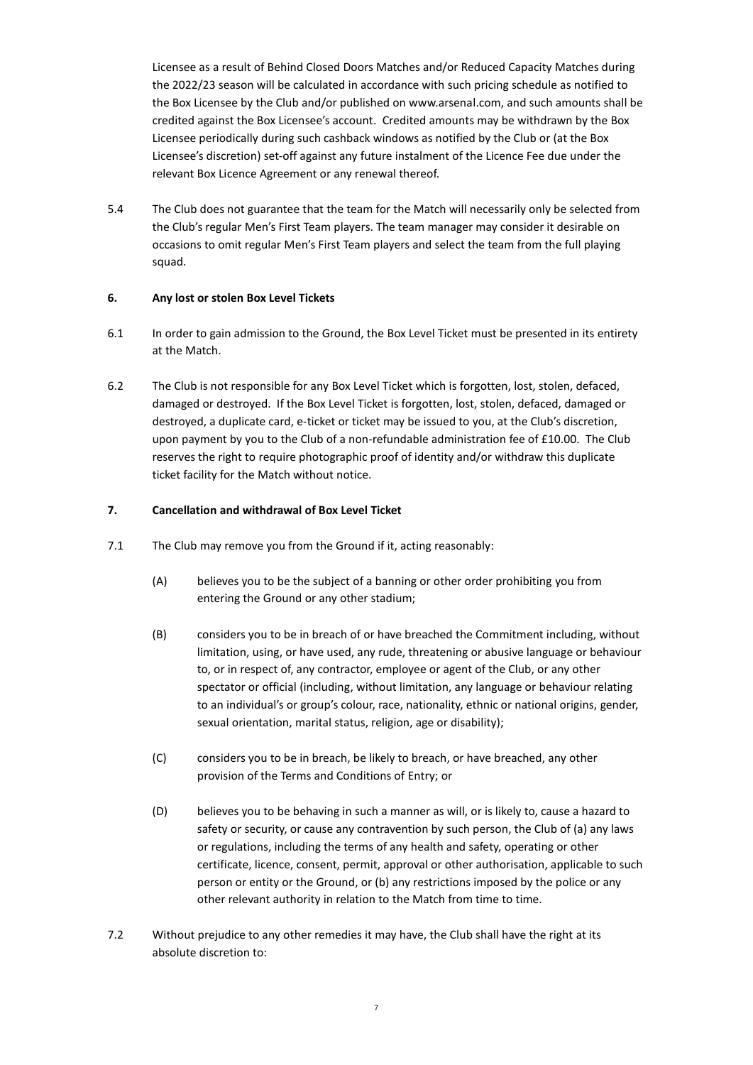Licensee as a result of Behind Closed Doors Matches and/or Reduced Capacity Matches during the 2022/23 season will be calculated in accordance with such pricing schedule as notified to the Box Licensee by the Club and/or published on www.arsenal.com, and such amounts shall be credited against the Box Licensee's account. Credited amounts may be withdrawn by the Box Licensee periodically during such cashback windows as notified by the Club or (at the Box Licensee's discretion) set-off against any future instalment of the Licence Fee due under the relevant Box Licence Agreement or any renewal thereof.

5.4 The Club does not guarantee that the team for the Match will necessarily only be selected from the Club's regular Men's First Team players. The team manager may consider it desirable on occasions to omit regular Men's First Team players and select the team from the full playing squad.

## **6. Any lost or stolen Box Level Tickets**

- 6.1 In order to gain admission to the Ground, the Box Level Ticket must be presented in its entirety at the Match.
- 6.2 The Club is not responsible for any Box Level Ticket which is forgotten, lost, stolen, defaced, damaged or destroyed. If the Box Level Ticket is forgotten, lost, stolen, defaced, damaged or destroyed, a duplicate card, e-ticket or ticket may be issued to you, at the Club's discretion, upon payment by you to the Club of a non-refundable administration fee of £10.00. The Club reserves the right to require photographic proof of identity and/or withdraw this duplicate ticket facility for the Match without notice.

## <span id="page-6-2"></span>**7. Cancellation and withdrawal of Box Level Ticket**

- <span id="page-6-0"></span>7.1 The Club may remove you from the Ground if it, acting reasonably:
	- (A) believes you to be the subject of a banning or other order prohibiting you from entering the Ground or any other stadium;
	- (B) considers you to be in breach of or have breached the Commitment including, without limitation, using, or have used, any rude, threatening or abusive language or behaviour to, or in respect of, any contractor, employee or agent of the Club, or any other spectator or official (including, without limitation, any language or behaviour relating to an individual's or group's colour, race, nationality, ethnic or national origins, gender, sexual orientation, marital status, religion, age or disability);
	- (C) considers you to be in breach, be likely to breach, or have breached, any other provision of the Terms and Conditions of Entry; or
	- (D) believes you to be behaving in such a manner as will, or is likely to, cause a hazard to safety or security, or cause any contravention by such person, the Club of (a) any laws or regulations, including the terms of any health and safety, operating or other certificate, licence, consent, permit, approval or other authorisation, applicable to such person or entity or the Ground, or (b) any restrictions imposed by the police or any other relevant authority in relation to the Match from time to time.
- <span id="page-6-1"></span>7.2 Without prejudice to any other remedies it may have, the Club shall have the right at its absolute discretion to: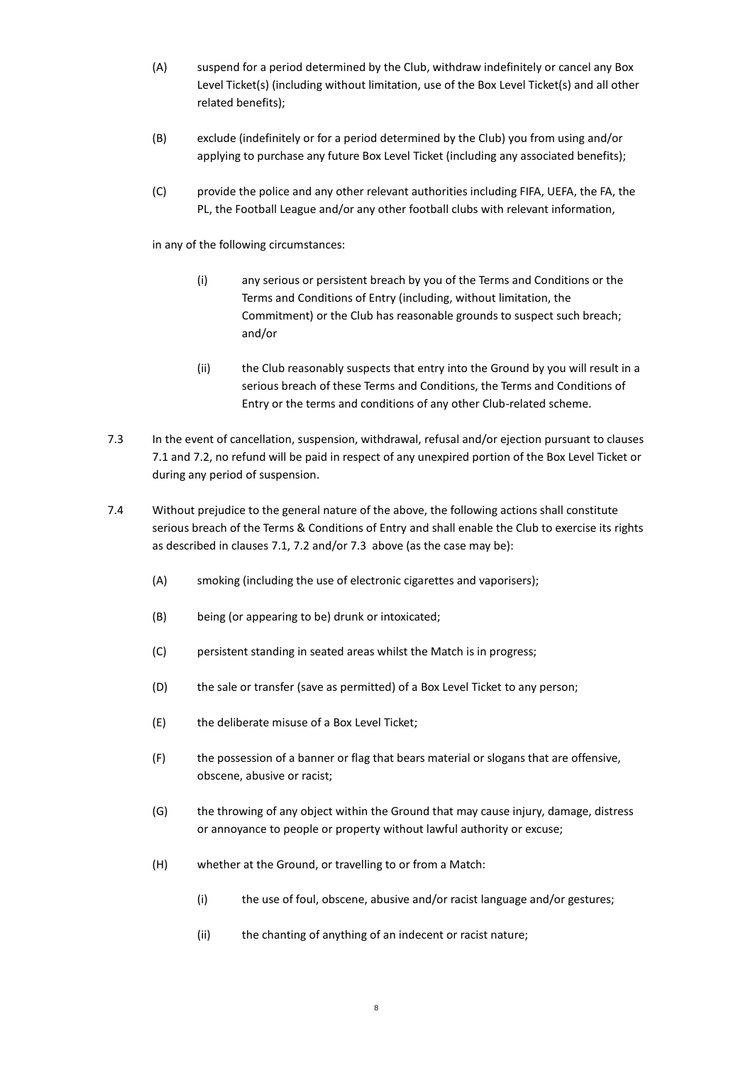- (A) suspend for a period determined by the Club, withdraw indefinitely or cancel any Box Level Ticket(s) (including without limitation, use of the Box Level Ticket(s) and all other related benefits);
- (B) exclude (indefinitely or for a period determined by the Club) you from using and/or applying to purchase any future Box Level Ticket (including any associated benefits);
- (C) provide the police and any other relevant authorities including FIFA, UEFA, the FA, the PL, the Football League and/or any other football clubs with relevant information,

in any of the following circumstances:

- (i) any serious or persistent breach by you of the Terms and Conditions or the Terms and Conditions of Entry (including, without limitation, the Commitment) or the Club has reasonable grounds to suspect such breach; and/or
- (ii) the Club reasonably suspects that entry into the Ground by you will result in a serious breach of these Terms and Conditions, the Terms and Conditions of Entry or the terms and conditions of any other Club-related scheme.
- <span id="page-7-0"></span>7.3 In the event of cancellation, suspension, withdrawal, refusal and/or ejection pursuant to clauses [7.1](#page-6-0) and [7.2,](#page-6-1) no refund will be paid in respect of any unexpired portion of the Box Level Ticket or during any period of suspension.
- <span id="page-7-1"></span>7.4 Without prejudice to the general nature of the above, the following actions shall constitute serious breach of the Terms & Conditions of Entry and shall enable the Club to exercise its rights as described in clauses [7.1,](#page-6-0) [7.2](#page-6-1) and/or [7.3](#page-7-0) above (as the case may be):
	- (A) smoking (including the use of electronic cigarettes and vaporisers);
	- (B) being (or appearing to be) drunk or intoxicated;
	- (C) persistent standing in seated areas whilst the Match is in progress;
	- (D) the sale or transfer (save as permitted) of a Box Level Ticket to any person;
	- (E) the deliberate misuse of a Box Level Ticket;
	- (F) the possession of a banner or flag that bears material or slogans that are offensive, obscene, abusive or racist;
	- (G) the throwing of any object within the Ground that may cause injury, damage, distress or annoyance to people or property without lawful authority or excuse;
	- (H) whether at the Ground, or travelling to or from a Match:
		- (i) the use of foul, obscene, abusive and/or racist language and/or gestures;
		- (ii) the chanting of anything of an indecent or racist nature;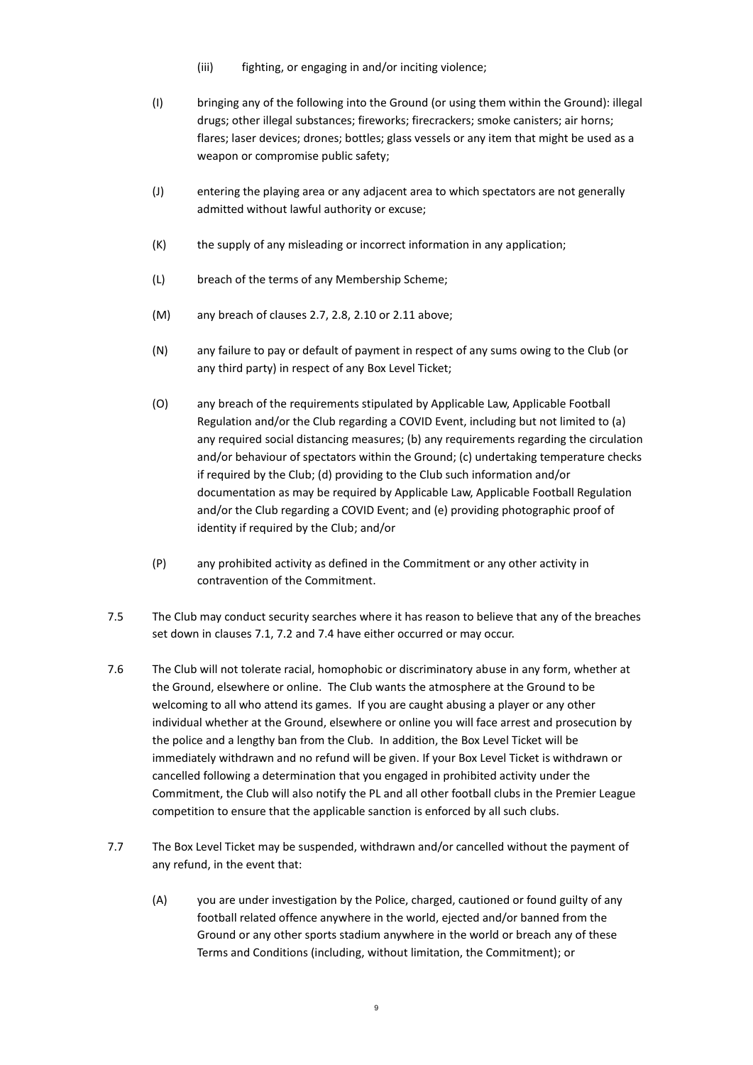- (iii) fighting, or engaging in and/or inciting violence;
- (I) bringing any of the following into the Ground (or using them within the Ground): illegal drugs; other illegal substances; fireworks; firecrackers; smoke canisters; air horns; flares; laser devices; drones; bottles; glass vessels or any item that might be used as a weapon or compromise public safety;
- (J) entering the playing area or any adjacent area to which spectators are not generally admitted without lawful authority or excuse;
- (K) the supply of any misleading or incorrect information in any application;
- (L) breach of the terms of any Membership Scheme;
- (M) any breach of clauses 2.7, 2.8, 2.10 or 2.11 above;
- (N) any failure to pay or default of payment in respect of any sums owing to the Club (or any third party) in respect of any Box Level Ticket;
- (O) any breach of the requirements stipulated by Applicable Law, Applicable Football Regulation and/or the Club regarding a COVID Event, including but not limited to (a) any required social distancing measures; (b) any requirements regarding the circulation and/or behaviour of spectators within the Ground; (c) undertaking temperature checks if required by the Club; (d) providing to the Club such information and/or documentation as may be required by Applicable Law, Applicable Football Regulation and/or the Club regarding a COVID Event; and (e) providing photographic proof of identity if required by the Club; and/or
- (P) any prohibited activity as defined in the Commitment or any other activity in contravention of the Commitment.
- 7.5 The Club may conduct security searches where it has reason to believe that any of the breaches set down in clauses [7.1,](#page-6-0) [7.2](#page-6-1) and [7.4](#page-7-1) have either occurred or may occur.
- 7.6 The Club will not tolerate racial, homophobic or discriminatory abuse in any form, whether at the Ground, elsewhere or online. The Club wants the atmosphere at the Ground to be welcoming to all who attend its games. If you are caught abusing a player or any other individual whether at the Ground, elsewhere or online you will face arrest and prosecution by the police and a lengthy ban from the Club. In addition, the Box Level Ticket will be immediately withdrawn and no refund will be given. If your Box Level Ticket is withdrawn or cancelled following a determination that you engaged in prohibited activity under the Commitment, the Club will also notify the PL and all other football clubs in the Premier League competition to ensure that the applicable sanction is enforced by all such clubs.
- 7.7 The Box Level Ticket may be suspended, withdrawn and/or cancelled without the payment of any refund, in the event that:
	- (A) you are under investigation by the Police, charged, cautioned or found guilty of any football related offence anywhere in the world, ejected and/or banned from the Ground or any other sports stadium anywhere in the world or breach any of these Terms and Conditions (including, without limitation, the Commitment); or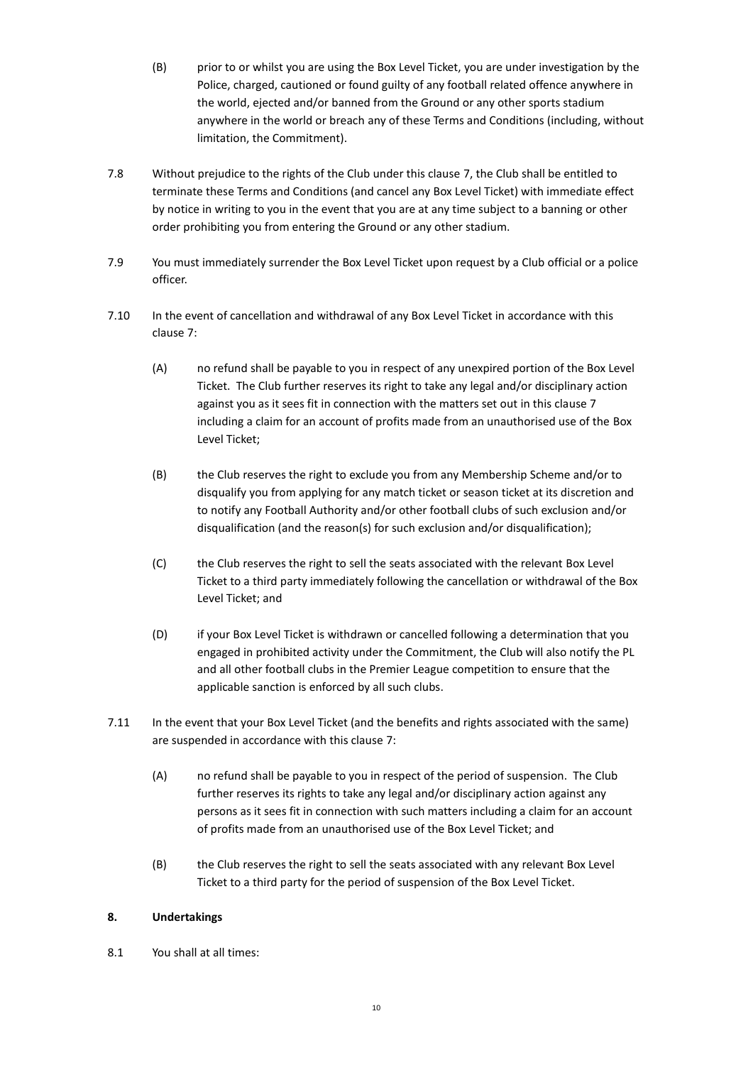- (B) prior to or whilst you are using the Box Level Ticket, you are under investigation by the Police, charged, cautioned or found guilty of any football related offence anywhere in the world, ejected and/or banned from the Ground or any other sports stadium anywhere in the world or breach any of these Terms and Conditions (including, without limitation, the Commitment).
- 7.8 Without prejudice to the rights of the Club under this clause [7,](#page-6-2) the Club shall be entitled to terminate these Terms and Conditions (and cancel any Box Level Ticket) with immediate effect by notice in writing to you in the event that you are at any time subject to a banning or other order prohibiting you from entering the Ground or any other stadium.
- 7.9 You must immediately surrender the Box Level Ticket upon request by a Club official or a police officer.
- 7.10 In the event of cancellation and withdrawal of any Box Level Ticket in accordance with this clause [7:](#page-6-2)
	- (A) no refund shall be payable to you in respect of any unexpired portion of the Box Level Ticket. The Club further reserves its right to take any legal and/or disciplinary action against you as it sees fit in connection with the matters set out in this claus[e 7](#page-6-2) including a claim for an account of profits made from an unauthorised use of the Box Level Ticket;
	- (B) the Club reserves the right to exclude you from any Membership Scheme and/or to disqualify you from applying for any match ticket or season ticket at its discretion and to notify any Football Authority and/or other football clubs of such exclusion and/or disqualification (and the reason(s) for such exclusion and/or disqualification);
	- (C) the Club reserves the right to sell the seats associated with the relevant Box Level Ticket to a third party immediately following the cancellation or withdrawal of the Box Level Ticket; and
	- (D) if your Box Level Ticket is withdrawn or cancelled following a determination that you engaged in prohibited activity under the Commitment, the Club will also notify the PL and all other football clubs in the Premier League competition to ensure that the applicable sanction is enforced by all such clubs.
- 7.11 In the event that your Box Level Ticket (and the benefits and rights associated with the same) are suspended in accordance with this claus[e 7:](#page-6-2)
	- (A) no refund shall be payable to you in respect of the period of suspension. The Club further reserves its rights to take any legal and/or disciplinary action against any persons as it sees fit in connection with such matters including a claim for an account of profits made from an unauthorised use of the Box Level Ticket; and
	- (B) the Club reserves the right to sell the seats associated with any relevant Box Level Ticket to a third party for the period of suspension of the Box Level Ticket.

# **8. Undertakings**

8.1 You shall at all times: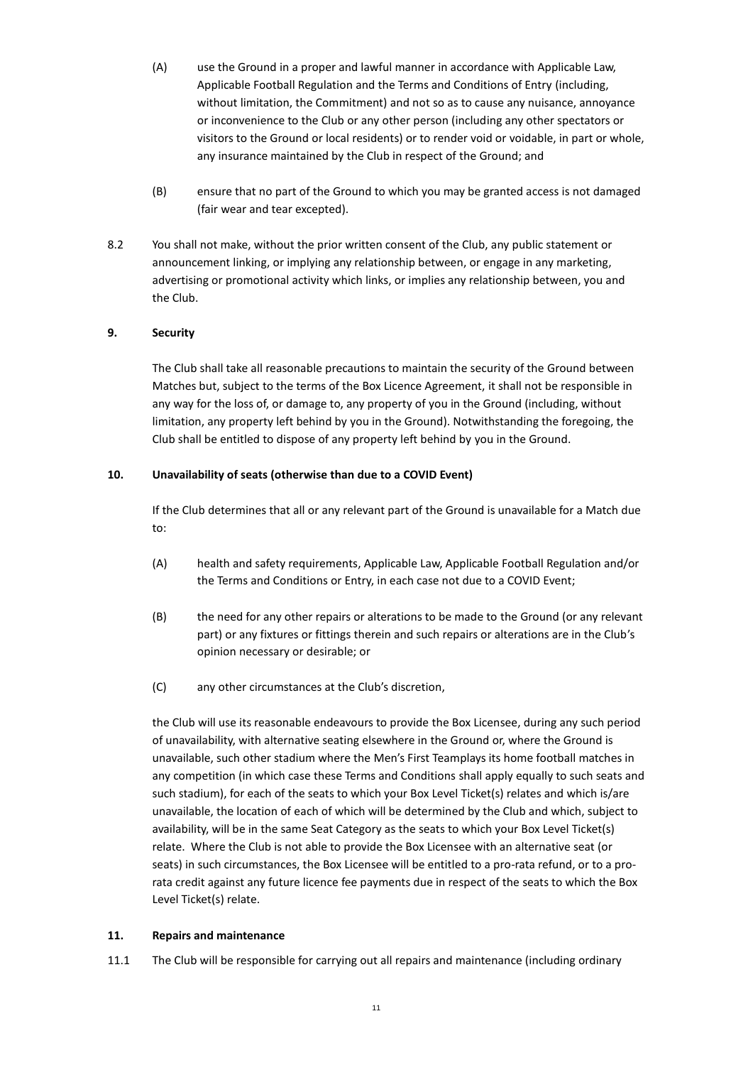- (A) use the Ground in a proper and lawful manner in accordance with Applicable Law, Applicable Football Regulation and the Terms and Conditions of Entry (including, without limitation, the Commitment) and not so as to cause any nuisance, annoyance or inconvenience to the Club or any other person (including any other spectators or visitors to the Ground or local residents) or to render void or voidable, in part or whole, any insurance maintained by the Club in respect of the Ground; and
- (B) ensure that no part of the Ground to which you may be granted access is not damaged (fair wear and tear excepted).
- 8.2 You shall not make, without the prior written consent of the Club, any public statement or announcement linking, or implying any relationship between, or engage in any marketing, advertising or promotional activity which links, or implies any relationship between, you and the Club.

## **9. Security**

The Club shall take all reasonable precautions to maintain the security of the Ground between Matches but, subject to the terms of the Box Licence Agreement, it shall not be responsible in any way for the loss of, or damage to, any property of you in the Ground (including, without limitation, any property left behind by you in the Ground). Notwithstanding the foregoing, the Club shall be entitled to dispose of any property left behind by you in the Ground.

#### **10. Unavailability of seats (otherwise than due to a COVID Event)**

If the Club determines that all or any relevant part of the Ground is unavailable for a Match due to:

- (A) health and safety requirements, Applicable Law, Applicable Football Regulation and/or the Terms and Conditions or Entry, in each case not due to a COVID Event;
- (B) the need for any other repairs or alterations to be made to the Ground (or any relevant part) or any fixtures or fittings therein and such repairs or alterations are in the Club's opinion necessary or desirable; or
- (C) any other circumstances at the Club's discretion,

the Club will use its reasonable endeavours to provide the Box Licensee, during any such period of unavailability, with alternative seating elsewhere in the Ground or, where the Ground is unavailable, such other stadium where the Men's First Teamplays its home football matches in any competition (in which case these Terms and Conditions shall apply equally to such seats and such stadium), for each of the seats to which your Box Level Ticket(s) relates and which is/are unavailable, the location of each of which will be determined by the Club and which, subject to availability, will be in the same Seat Category as the seats to which your Box Level Ticket(s) relate. Where the Club is not able to provide the Box Licensee with an alternative seat (or seats) in such circumstances, the Box Licensee will be entitled to a pro-rata refund, or to a prorata credit against any future licence fee payments due in respect of the seats to which the Box Level Ticket(s) relate.

#### **11. Repairs and maintenance**

11.1 The Club will be responsible for carrying out all repairs and maintenance (including ordinary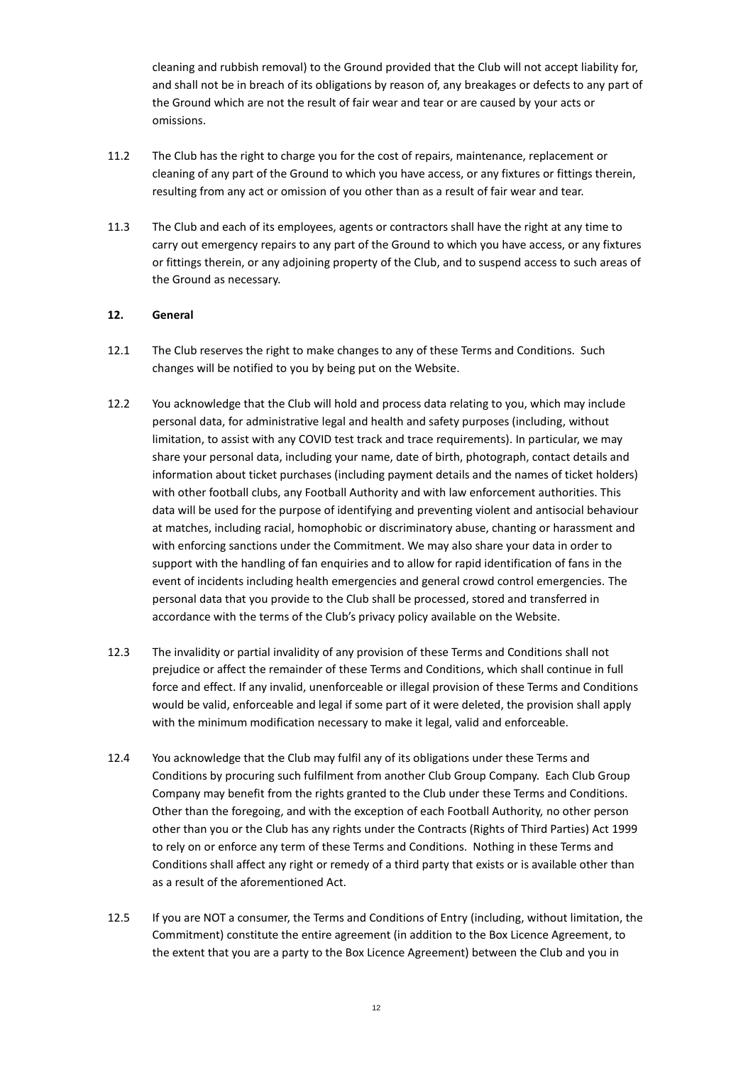cleaning and rubbish removal) to the Ground provided that the Club will not accept liability for, and shall not be in breach of its obligations by reason of, any breakages or defects to any part of the Ground which are not the result of fair wear and tear or are caused by your acts or omissions.

- 11.2 The Club has the right to charge you for the cost of repairs, maintenance, replacement or cleaning of any part of the Ground to which you have access, or any fixtures or fittings therein, resulting from any act or omission of you other than as a result of fair wear and tear.
- 11.3 The Club and each of its employees, agents or contractors shall have the right at any time to carry out emergency repairs to any part of the Ground to which you have access, or any fixtures or fittings therein, or any adjoining property of the Club, and to suspend access to such areas of the Ground as necessary.

## **12. General**

- 12.1 The Club reserves the right to make changes to any of these Terms and Conditions. Such changes will be notified to you by being put on the Website.
- 12.2 You acknowledge that the Club will hold and process data relating to you, which may include personal data, for administrative legal and health and safety purposes (including, without limitation, to assist with any COVID test track and trace requirements). In particular, we may share your personal data, including your name, date of birth, photograph, contact details and information about ticket purchases (including payment details and the names of ticket holders) with other football clubs, any Football Authority and with law enforcement authorities. This data will be used for the purpose of identifying and preventing violent and antisocial behaviour at matches, including racial, homophobic or discriminatory abuse, chanting or harassment and with enforcing sanctions under the Commitment. We may also share your data in order to support with the handling of fan enquiries and to allow for rapid identification of fans in the event of incidents including health emergencies and general crowd control emergencies. The personal data that you provide to the Club shall be processed, stored and transferred in accordance with the terms of the Club's privacy policy available on the Website.
- 12.3 The invalidity or partial invalidity of any provision of these Terms and Conditions shall not prejudice or affect the remainder of these Terms and Conditions, which shall continue in full force and effect. If any invalid, unenforceable or illegal provision of these Terms and Conditions would be valid, enforceable and legal if some part of it were deleted, the provision shall apply with the minimum modification necessary to make it legal, valid and enforceable.
- 12.4 You acknowledge that the Club may fulfil any of its obligations under these Terms and Conditions by procuring such fulfilment from another Club Group Company. Each Club Group Company may benefit from the rights granted to the Club under these Terms and Conditions. Other than the foregoing, and with the exception of each Football Authority, no other person other than you or the Club has any rights under the Contracts (Rights of Third Parties) Act 1999 to rely on or enforce any term of these Terms and Conditions. Nothing in these Terms and Conditions shall affect any right or remedy of a third party that exists or is available other than as a result of the aforementioned Act.
- 12.5 If you are NOT a consumer, the Terms and Conditions of Entry (including, without limitation, the Commitment) constitute the entire agreement (in addition to the Box Licence Agreement, to the extent that you are a party to the Box Licence Agreement) between the Club and you in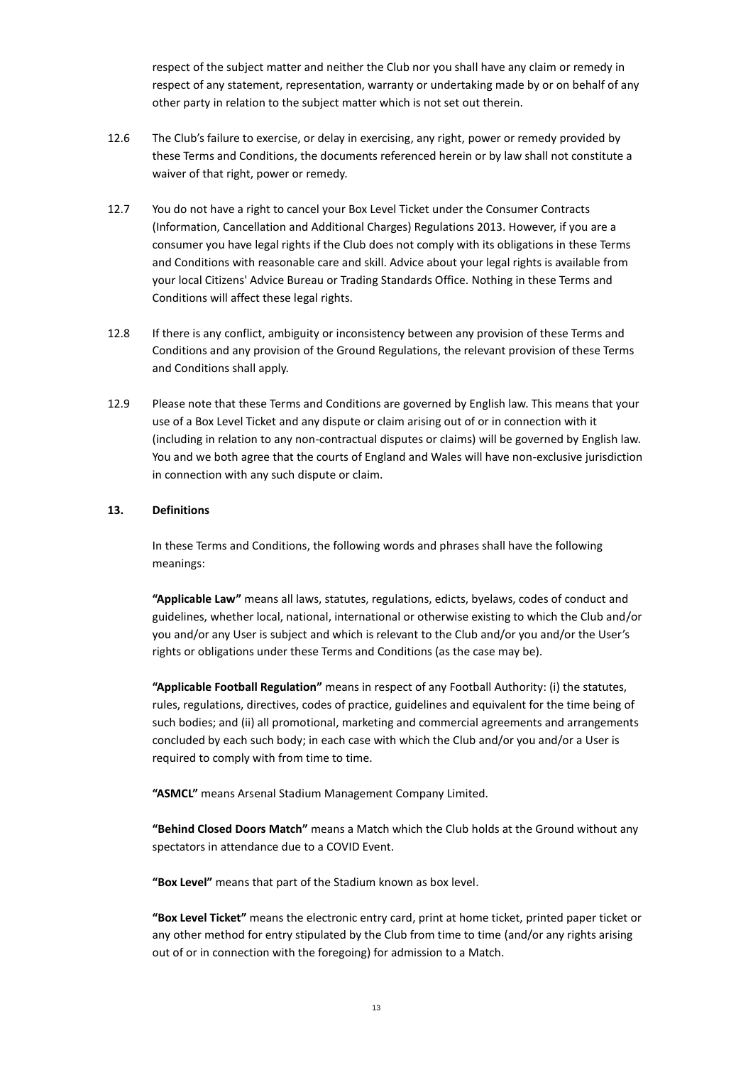respect of the subject matter and neither the Club nor you shall have any claim or remedy in respect of any statement, representation, warranty or undertaking made by or on behalf of any other party in relation to the subject matter which is not set out therein.

- 12.6 The Club's failure to exercise, or delay in exercising, any right, power or remedy provided by these Terms and Conditions, the documents referenced herein or by law shall not constitute a waiver of that right, power or remedy.
- 12.7 You do not have a right to cancel your Box Level Ticket under the Consumer Contracts (Information, Cancellation and Additional Charges) Regulations 2013. However, if you are a consumer you have legal rights if the Club does not comply with its obligations in these Terms and Conditions with reasonable care and skill. Advice about your legal rights is available from your local Citizens' Advice Bureau or Trading Standards Office. Nothing in these Terms and Conditions will affect these legal rights.
- 12.8 If there is any conflict, ambiguity or inconsistency between any provision of these Terms and Conditions and any provision of the Ground Regulations, the relevant provision of these Terms and Conditions shall apply.
- 12.9 Please note that these Terms and Conditions are governed by English law. This means that your use of a Box Level Ticket and any dispute or claim arising out of or in connection with it (including in relation to any non-contractual disputes or claims) will be governed by English law. You and we both agree that the courts of England and Wales will have non-exclusive jurisdiction in connection with any such dispute or claim.

#### **13. Definitions**

In these Terms and Conditions, the following words and phrases shall have the following meanings:

**"Applicable Law"** means all laws, statutes, regulations, edicts, byelaws, codes of conduct and guidelines, whether local, national, international or otherwise existing to which the Club and/or you and/or any User is subject and which is relevant to the Club and/or you and/or the User's rights or obligations under these Terms and Conditions (as the case may be).

**"Applicable Football Regulation"** means in respect of any Football Authority: (i) the statutes, rules, regulations, directives, codes of practice, guidelines and equivalent for the time being of such bodies; and (ii) all promotional, marketing and commercial agreements and arrangements concluded by each such body; in each case with which the Club and/or you and/or a User is required to comply with from time to time.

**"ASMCL"** means Arsenal Stadium Management Company Limited.

**"Behind Closed Doors Match"** means a Match which the Club holds at the Ground without any spectators in attendance due to a COVID Event.

**"Box Level"** means that part of the Stadium known as box level.

**"Box Level Ticket"** means the electronic entry card, print at home ticket, printed paper ticket or any other method for entry stipulated by the Club from time to time (and/or any rights arising out of or in connection with the foregoing) for admission to a Match.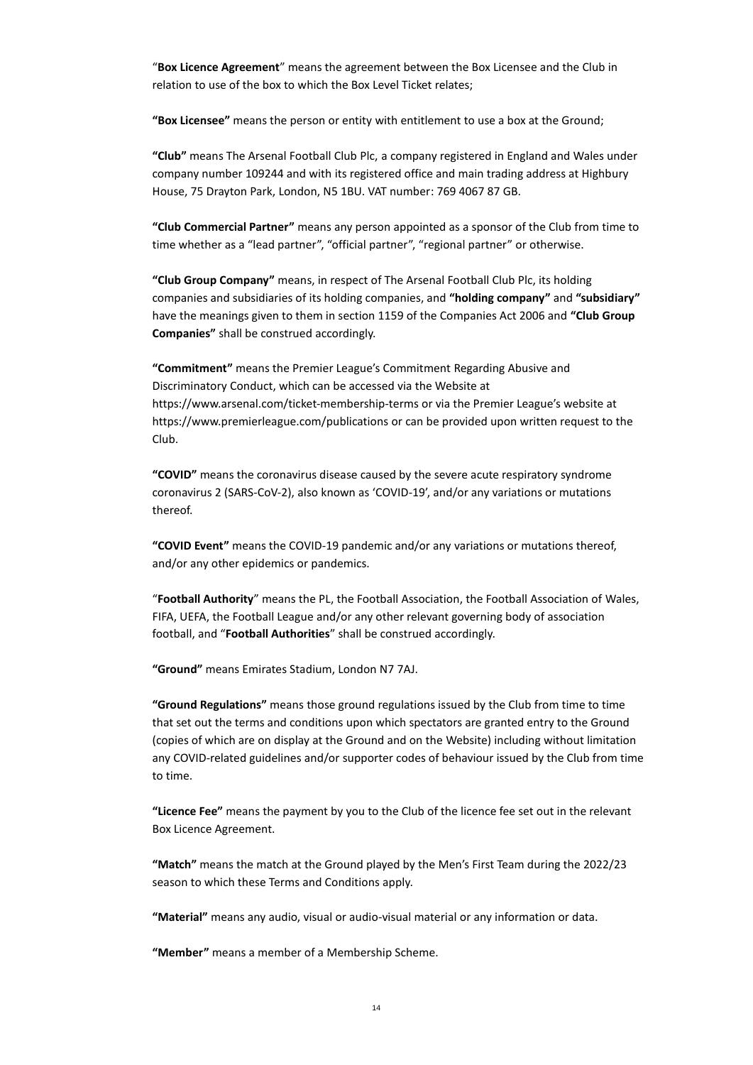"**Box Licence Agreement**" means the agreement between the Box Licensee and the Club in relation to use of the box to which the Box Level Ticket relates;

**"Box Licensee"** means the person or entity with entitlement to use a box at the Ground;

**"Club"** means The Arsenal Football Club Plc, a company registered in England and Wales under company number 109244 and with its registered office and main trading address at Highbury House, 75 Drayton Park, London, N5 1BU. VAT number: 769 4067 87 GB.

**"Club Commercial Partner"** means any person appointed as a sponsor of the Club from time to time whether as a "lead partner", "official partner", "regional partner" or otherwise.

**"Club Group Company"** means, in respect of The Arsenal Football Club Plc, its holding companies and subsidiaries of its holding companies, and **"holding company"** and **"subsidiary"** have the meanings given to them in section 1159 of the Companies Act 2006 and **"Club Group Companies"** shall be construed accordingly.

**"Commitment"** means the Premier League's Commitment Regarding Abusive and Discriminatory Conduct, which can be accessed via the Website at https://www.arsenal.com/ticket-membership-terms or via the Premier League's website at https://www.premierleague.com/publications or can be provided upon written request to the Club.

**"COVID"** means the coronavirus disease caused by the severe acute respiratory syndrome coronavirus 2 (SARS-CoV-2), also known as 'COVID-19', and/or any variations or mutations thereof.

**"COVID Event"** means the COVID-19 pandemic and/or any variations or mutations thereof, and/or any other epidemics or pandemics.

"**Football Authority**" means the PL, the Football Association, the Football Association of Wales, FIFA, UEFA, the Football League and/or any other relevant governing body of association football, and "**Football Authorities**" shall be construed accordingly.

**"Ground"** means Emirates Stadium, London N7 7AJ.

**"Ground Regulations"** means those ground regulations issued by the Club from time to time that set out the terms and conditions upon which spectators are granted entry to the Ground (copies of which are on display at the Ground and on the Website) including without limitation any COVID-related guidelines and/or supporter codes of behaviour issued by the Club from time to time.

**"Licence Fee"** means the payment by you to the Club of the licence fee set out in the relevant Box Licence Agreement.

**"Match"** means the match at the Ground played by the Men's First Team during the 2022/23 season to which these Terms and Conditions apply.

**"Material"** means any audio, visual or audio-visual material or any information or data.

**"Member"** means a member of a Membership Scheme.